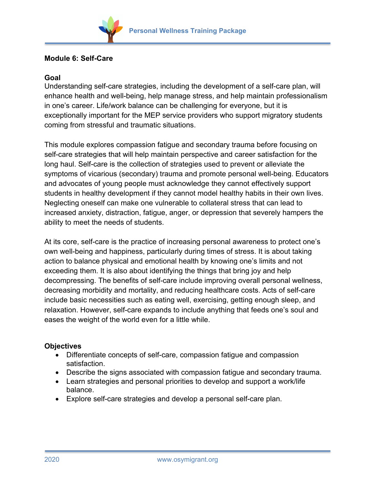

## **Module 6: Self-Care**

## **Goal**

Understanding self-care strategies, including the development of a self-care plan, will enhance health and well-being, help manage stress, and help maintain professionalism in one's career. Life/work balance can be challenging for everyone, but it is exceptionally important for the MEP service providers who support migratory students coming from stressful and traumatic situations.

This module explores compassion fatigue and secondary trauma before focusing on self-care strategies that will help maintain perspective and career satisfaction for the long haul. Self-care is the collection of strategies used to prevent or alleviate the symptoms of vicarious (secondary) trauma and promote personal well-being. Educators and advocates of young people must acknowledge they cannot effectively support students in healthy development if they cannot model healthy habits in their own lives. Neglecting oneself can make one vulnerable to collateral stress that can lead to increased anxiety, distraction, fatigue, anger, or depression that severely hampers the ability to meet the needs of students.

At its core, self-care is the practice of increasing personal awareness to protect one's own well-being and happiness, particularly during times of stress. It is about taking action to balance physical and emotional health by knowing one's limits and not exceeding them. It is also about identifying the things that bring joy and help decompressing. The benefits of self-care include improving overall personal wellness, decreasing morbidity and mortality, and reducing healthcare costs. Acts of self-care include basic necessities such as eating well, exercising, getting enough sleep, and relaxation. However, self-care expands to include anything that feeds one's soul and eases the weight of the world even for a little while.

## **Objectives**

- Differentiate concepts of self-care, compassion fatigue and compassion satisfaction.
- Describe the signs associated with compassion fatigue and secondary trauma.
- Learn strategies and personal priorities to develop and support a work/life balance.
- Explore self-care strategies and develop a personal self-care plan.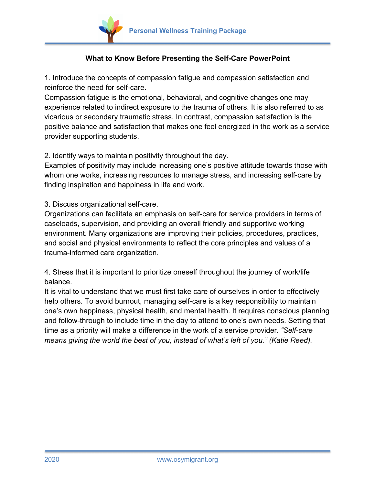

## **What to Know Before Presenting the Self-Care PowerPoint**

1. Introduce the concepts of compassion fatigue and compassion satisfaction and reinforce the need for self-care.

Compassion fatigue is the emotional, behavioral, and cognitive changes one may experience related to indirect exposure to the trauma of others. It is also referred to as vicarious or secondary traumatic stress. In contrast, compassion satisfaction is the positive balance and satisfaction that makes one feel energized in the work as a service provider supporting students.

2. Identify ways to maintain positivity throughout the day.

Examples of positivity may include increasing one's positive attitude towards those with whom one works, increasing resources to manage stress, and increasing self-care by finding inspiration and happiness in life and work.

3. Discuss organizational self-care.

Organizations can facilitate an emphasis on self-care for service providers in terms of caseloads, supervision, and providing an overall friendly and supportive working environment. Many organizations are improving their policies, procedures, practices, and social and physical environments to reflect the core principles and values of a trauma-informed care organization.

4. Stress that it is important to prioritize oneself throughout the journey of work/life balance.

It is vital to understand that we must first take care of ourselves in order to effectively help others. To avoid burnout, managing self-care is a key responsibility to maintain one's own happiness, physical health, and mental health. It requires conscious planning and follow-through to include time in the day to attend to one's own needs. Setting that time as a priority will make a difference in the work of a service provider. *"Self-care means giving the world the best of you, instead of what's left of you." (Katie Reed).*